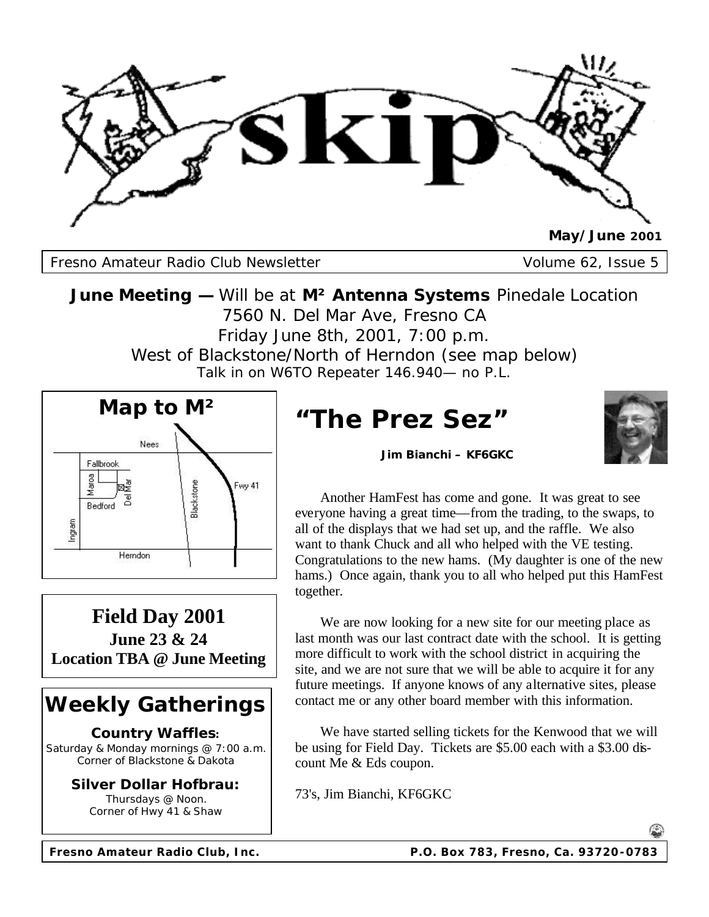

Fresno Amateur Radio Club Newsletter Volume 62, Issue 5

**June Meeting —** Will be at **M² Antenna Systems** Pinedale Location 7560 N. Del Mar Ave, Fresno CA Friday June 8th, 2001, 7:00 p.m. West of Blackstone/North of Herndon (see map below) Talk in on W6TO Repeater 146.940— no P.L.



**Field Day 2001 June 23 & 24 Location TBA @ June Meeting**

# **Weekly Gatherings**

### **Country Waffles:**

Saturday & Monday mornings @ 7:00 a.m. Corner of Blackstone & Dakota

> **Silver Dollar Hofbrau:** Thursdays @ Noon. Corner of Hwy 41 & Shaw

**"The Prez Sez"**



**Jim Bianchi – KF6GKC**

 Another HamFest has come and gone. It was great to see everyone having a great time—from the trading, to the swaps, to all of the displays that we had set up, and the raffle. We also want to thank Chuck and all who helped with the VE testing. Congratulations to the new hams. (My daughter is one of the new hams.) Once again, thank you to all who helped put this HamFest together.

 We are now looking for a new site for our meeting place as last month was our last contract date with the school. It is getting more difficult to work with the school district in acquiring the site, and we are not sure that we will be able to acquire it for any future meetings. If anyone knows of any alternative sites, please contact me or any other board member with this information.

 We have started selling tickets for the Kenwood that we will be using for Field Day. Tickets are \$5.00 each with a \$3.00 discount Me & Eds coupon.

73's, Jim Bianchi, KF6GKC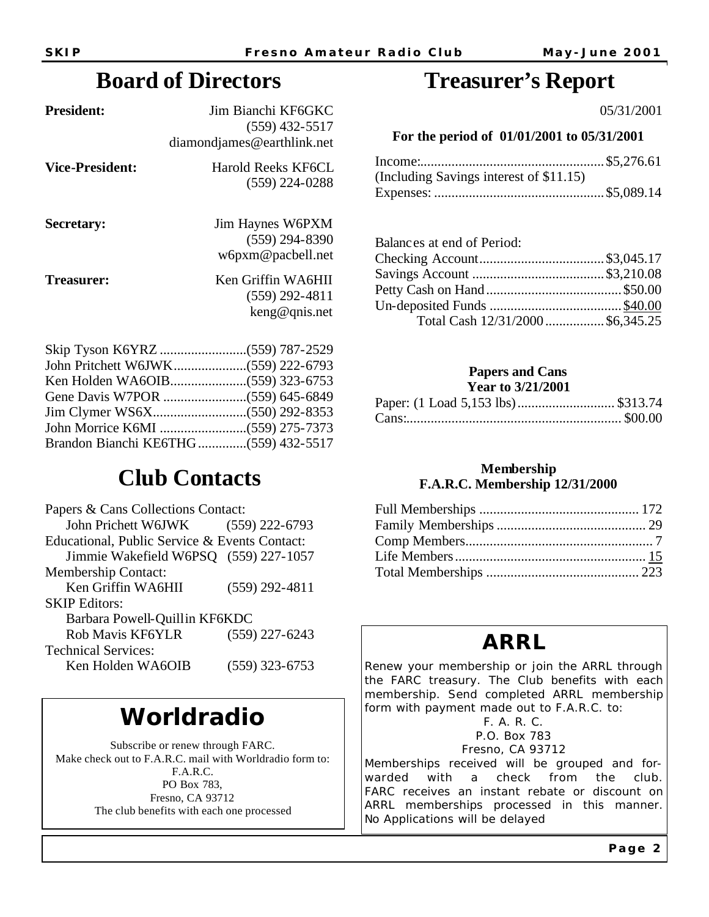### **Board of Directors**

| <b>President:</b>      | Jim Bianchi KF6GKC<br>$(559)$ 432-5517<br>diamondiames@earthlink.net |
|------------------------|----------------------------------------------------------------------|
| <b>Vice-President:</b> | Harold Reeks KF6CL<br>$(559)$ 224-0288                               |
| Secretary:             | Jim Haynes W6PXM<br>$(559)$ 294-8390<br>w6pxm@pacbell.net            |
| Treasurer:             | Ken Griffin WA6HII<br>$(559)$ 292-4811<br>keng@qnis.net              |
|                        |                                                                      |

| $\frac{1}{2}$                         |  |  |
|---------------------------------------|--|--|
|                                       |  |  |
|                                       |  |  |
|                                       |  |  |
|                                       |  |  |
|                                       |  |  |
| Brandon Bianchi KE6THG (559) 432-5517 |  |  |

# **Club Contacts**

| Papers & Cans Collections Contact:            |                  |  |  |  |
|-----------------------------------------------|------------------|--|--|--|
| John Prichett W6JWK                           | $(559)$ 222-6793 |  |  |  |
| Educational, Public Service & Events Contact: |                  |  |  |  |
| Jimmie Wakefield W6PSQ (559) 227-1057         |                  |  |  |  |
| <b>Membership Contact:</b>                    |                  |  |  |  |
| Ken Griffin WA6HII                            | $(559)$ 292-4811 |  |  |  |
| <b>SKIP Editors:</b>                          |                  |  |  |  |
| Barbara Powell-Quillin KF6KDC                 |                  |  |  |  |
| Rob Mavis KF6YLR                              | $(559)$ 227-6243 |  |  |  |
| <b>Technical Services:</b>                    |                  |  |  |  |
| Ken Holden WA6OIB                             | $(559)$ 323-6753 |  |  |  |
|                                               |                  |  |  |  |

# **Worldradio**

Subscribe or renew through FARC. Make check out to F.A.R.C. mail with Worldradio form to: F.A.R.C. PO Box 783, Fresno, CA 93712 The club benefits with each one processed

### **Treasurer's Report**

05/31/2001

#### **For the period of 01/01/2001 to 05/31/2001**

| (Including Savings interest of \$11.15) |  |
|-----------------------------------------|--|
|                                         |  |

#### Balances at end of Period:

| Total Cash 12/31/2000\$6,345.25 |  |
|---------------------------------|--|

#### **Papers and Cans Year to 3/21/2001**

| Paper: (1 Load 5,153 lbs) \$313.74 |  |
|------------------------------------|--|
|                                    |  |

### **Membership F.A.R.C. Membership 12/31/2000**

### **ARRL**

Renew your membership or join the ARRL through the FARC treasury. The Club benefits with each membership. Send completed ARRL membership form with payment made out to F.A.R.C. to:

### F. A. R. C.

P.O. Box 783 Fresno, CA 93712

Memberships received will be grouped and forwarded with a check from the club. FARC receives an instant rebate or discount on ARRL memberships processed in this manner. No Applications will be delayed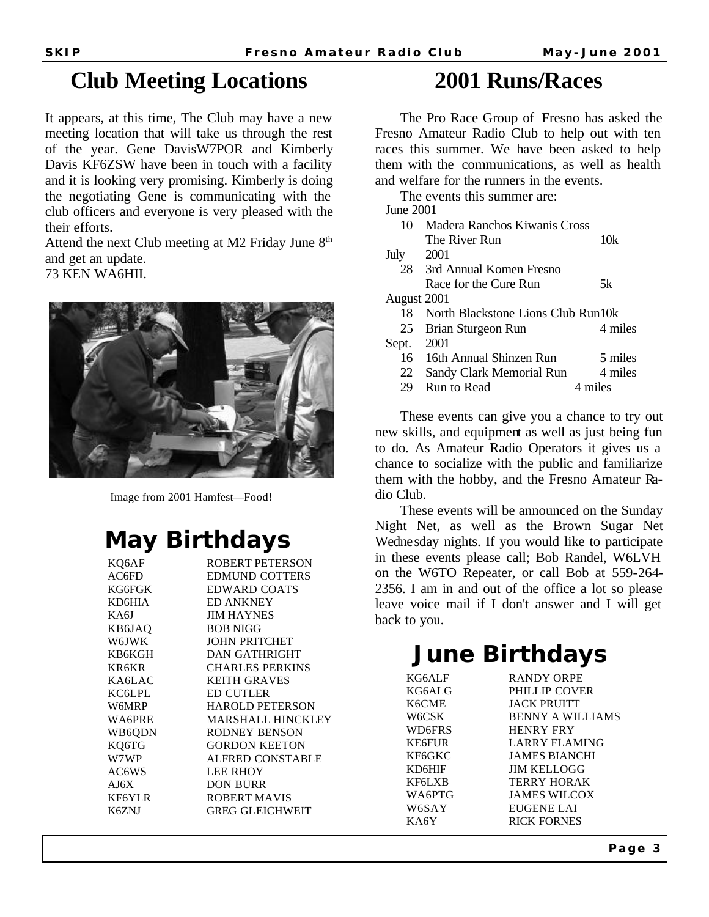### **Club Meeting Locations**

It appears, at this time, The Club may have a new meeting location that will take us through the rest of the year. Gene DavisW7POR and Kimberly Davis KF6ZSW have been in touch with a facility and it is looking very promising. Kimberly is doing the negotiating Gene is communicating with the club officers and everyone is very pleased with the their efforts.

Attend the next Club meeting at M2 Friday June 8<sup>th</sup> and get an update.

73 KEN WA6HII.



Image from 2001 Hamfest—Food!

# **May Birthdays**

| KQ6AF  | ROBERT PETERSON          |
|--------|--------------------------|
| AC6FD  | <b>EDMUND COTTERS</b>    |
| KG6FGK | <b>EDWARD COATS</b>      |
| KD6HIA | <b>ED ANKNEY</b>         |
| KA6J   | <b>JIM HAYNES</b>        |
| KB6JAO | <b>BOB NIGG</b>          |
| W6JWK  | <b>JOHN PRITCHET</b>     |
| KB6KGH | DAN GATHRIGHT            |
| KR6KR  | <b>CHARLES PERKINS</b>   |
| KA6LAC | <b>KEITH GRAVES</b>      |
| KC6LPL | <b>ED CUTLER</b>         |
| W6MRP  | <b>HAROLD PETERSON</b>   |
| WA6PRE | <b>MARSHALL HINCKLEY</b> |
| WB6QDN | RODNEY BENSON            |
| KQ6TG  | <b>GORDON KEETON</b>     |
| W7WP   | ALFRED CONSTABLE         |
| AC6WS  | <b>LEE RHOY</b>          |
| AJ6X   | <b>DON BURR</b>          |
| KF6YLR | ROBERT MAVIS             |
| K6ZNJ  | GREG GLEICHWEIT          |
|        |                          |

### **2001 Runs/Races**

 The Pro Race Group of Fresno has asked the Fresno Amateur Radio Club to help out with ten races this summer. We have been asked to help them with the communications, as well as health and welfare for the runners in the events.

 The events this summer are: June 2001 10 Madera Ranchos Kiwanis Cross The River Run 10k July 2001 28 3rd Annual Komen Fresno Race for the Cure Run 5k August 2001 18 North Blackstone Lions Club Run10k 25 Brian Sturgeon Run 4 miles Sept. 2001 16 16th Annual Shinzen Run 5 miles 22 Sandy Clark Memorial Run 4 miles 29 Run to Read 4 miles

 These events can give you a chance to try out new skills, and equipment as well as just being fun to do. As Amateur Radio Operators it gives us a chance to socialize with the public and familiarize them with the hobby, and the Fresno Amateur Radio Club.

 These events will be announced on the Sunday Night Net, as well as the Brown Sugar Net Wednesday nights. If you would like to participate in these events please call; Bob Randel, W6LVH on the W6TO Repeater, or call Bob at 559-264- 2356. I am in and out of the office a lot so please leave voice mail if I don't answer and I will get back to you.

# **June Birthdays**

KG6ALF RANDY ORPE KG6ALG PHILLIP COVER K6CME JACK PRUITT W6CSK BENNY A WILLIAMS WD6FRS HENRY FRY KE6FUR LARRY FLAMING KF6GKC JAMES BIANCHI KD6HIF JIM KELLOGG KF6LXB TERRY HORAK WA6PTG JAMES WILCOX W6SAY EUGENE LAI KA6Y RICK FORNES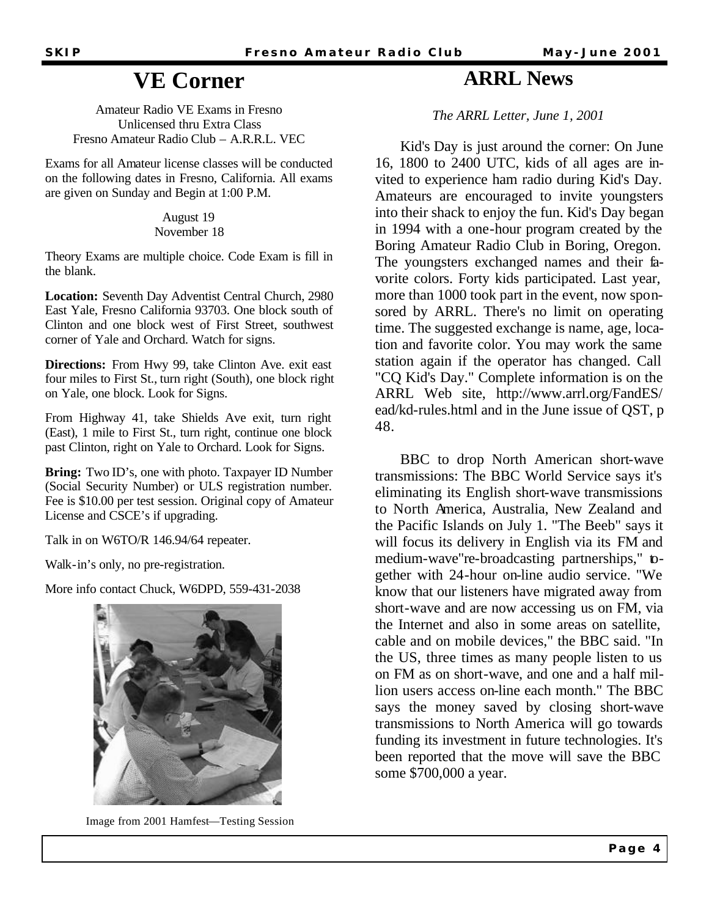### **VE Corner**

Amateur Radio VE Exams in Fresno Unlicensed thru Extra Class Fresno Amateur Radio Club – A.R.R.L. VEC

Exams for all Amateur license classes will be conducted on the following dates in Fresno, California. All exams are given on Sunday and Begin at 1:00 P.M.

> August 19 November 18

Theory Exams are multiple choice. Code Exam is fill in the blank.

**Location:** Seventh Day Adventist Central Church, 2980 East Yale, Fresno California 93703. One block south of Clinton and one block west of First Street, southwest corner of Yale and Orchard. Watch for signs.

**Directions:** From Hwy 99, take Clinton Ave. exit east four miles to First St., turn right (South), one block right on Yale, one block. Look for Signs.

From Highway 41, take Shields Ave exit, turn right (East), 1 mile to First St., turn right, continue one block past Clinton, right on Yale to Orchard. Look for Signs.

**Bring:** Two ID's, one with photo. Taxpayer ID Number (Social Security Number) or ULS registration number. Fee is \$10.00 per test session. Original copy of Amateur License and CSCE's if upgrading.

Talk in on W6TO/R 146.94/64 repeater.

Walk-in's only, no pre-registration.

More info contact Chuck, W6DPD, 559-431-2038



Image from 2001 Hamfest—Testing Session

### **ARRL News**

*The ARRL Letter, June 1, 2001*

 Kid's Day is just around the corner: On June 16, 1800 to 2400 UTC, kids of all ages are invited to experience ham radio during Kid's Day. Amateurs are encouraged to invite youngsters into their shack to enjoy the fun. Kid's Day began in 1994 with a one-hour program created by the Boring Amateur Radio Club in Boring, Oregon. The youngsters exchanged names and their favorite colors. Forty kids participated. Last year, more than 1000 took part in the event, now sponsored by ARRL. There's no limit on operating time. The suggested exchange is name, age, location and favorite color. You may work the same station again if the operator has changed. Call "CQ Kid's Day." Complete information is on the ARRL Web site, http://www.arrl.org/FandES/ ead/kd-rules.html and in the June issue of QST, p 48.

 BBC to drop North American short-wave transmissions: The BBC World Service says it's eliminating its English short-wave transmissions to North America, Australia, New Zealand and the Pacific Islands on July 1. "The Beeb" says it will focus its delivery in English via its FM and medium-wave"re-broadcasting partnerships," together with 24-hour on-line audio service. "We know that our listeners have migrated away from short-wave and are now accessing us on FM, via the Internet and also in some areas on satellite, cable and on mobile devices," the BBC said. "In the US, three times as many people listen to us on FM as on short-wave, and one and a half million users access on-line each month." The BBC says the money saved by closing short-wave transmissions to North America will go towards funding its investment in future technologies. It's been reported that the move will save the BBC some \$700,000 a year.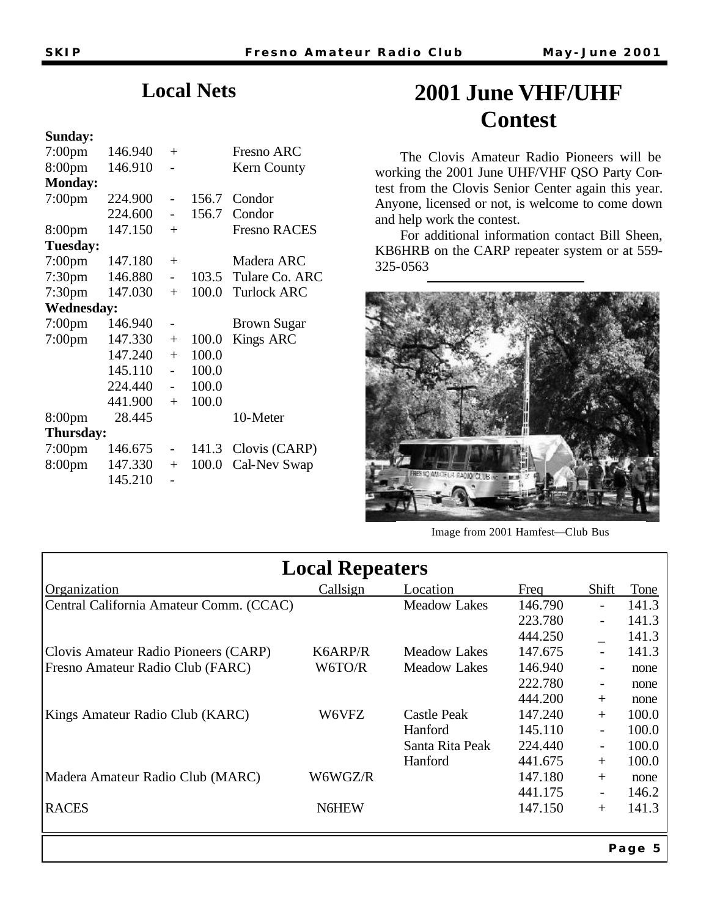### **Local Nets**

#### **Sunday:**

| $7:00$ pm          | 146.940 | $+$            |       | Fresno ARC          |
|--------------------|---------|----------------|-------|---------------------|
| 8:00 <sub>pm</sub> | 146.910 |                |       | Kern County         |
| <b>Monday:</b>     |         |                |       |                     |
| $7:00$ pm          | 224.900 |                | 156.7 | Condor              |
|                    | 224.600 |                | 156.7 | Condor              |
| 8:00 <sub>pm</sub> | 147.150 | $^{+}$         |       | <b>Fresno RACES</b> |
| Tuesday:           |         |                |       |                     |
| 7:00pm             | 147.180 | $+$            |       | Madera ARC          |
| 7:30 <sub>pm</sub> | 146.880 | $\overline{a}$ | 103.5 | Tulare Co. ARC      |
| 7:30 <sub>pm</sub> | 147.030 | $+$            | 100.0 | <b>Turlock ARC</b>  |
| <b>Wednesday:</b>  |         |                |       |                     |
| 7:00 <sub>pm</sub> | 146.940 |                |       | <b>Brown Sugar</b>  |
| 7:00 <sub>pm</sub> | 147.330 | $+$            | 100.0 | <b>Kings ARC</b>    |
|                    | 147.240 | $+$            | 100.0 |                     |
|                    | 145.110 | $\overline{a}$ | 100.0 |                     |
|                    | 224.440 |                | 100.0 |                     |
|                    | 441.900 | $+$            | 100.0 |                     |
| 8:00 <sub>pm</sub> | 28.445  |                |       | 10-Meter            |
| Thursday:          |         |                |       |                     |
| 7:00pm             | 146.675 |                | 141.3 | Clovis (CARP)       |
| 8:00pm             | 147.330 | $+$            | 100.0 | Cal-Nev Swap        |
|                    | 145.210 |                |       |                     |

# **2001 June VHF/UHF Contest**

 The Clovis Amateur Radio Pioneers will be working the 2001 June UHF/VHF QSO Party Contest from the Clovis Senior Center again this year. Anyone, licensed or not, is welcome to come down and help work the contest.

 For additional information contact Bill Sheen, KB6HRB on the CARP repeater system or at 559- 325-0563



Image from 2001 Hamfest—Club Bus

| <b>Local Repeaters</b>                  |          |                     |         |                          |        |  |
|-----------------------------------------|----------|---------------------|---------|--------------------------|--------|--|
| Organization                            | Callsign | Location            | Freq    | Shift                    | Tone   |  |
| Central California Amateur Comm. (CCAC) |          | <b>Meadow Lakes</b> | 146.790 |                          | 141.3  |  |
|                                         |          |                     | 223.780 |                          | 141.3  |  |
|                                         |          |                     | 444.250 |                          | 141.3  |  |
| Clovis Amateur Radio Pioneers (CARP)    | K6ARP/R  | <b>Meadow Lakes</b> | 147.675 |                          | 141.3  |  |
| Fresno Amateur Radio Club (FARC)        | W6TO/R   | <b>Meadow Lakes</b> | 146.940 |                          | none   |  |
|                                         |          |                     | 222.780 | $\qquad \qquad -$        | none   |  |
|                                         |          |                     | 444.200 | $+$                      | none   |  |
| Kings Amateur Radio Club (KARC)         | W6VFZ    | Castle Peak         | 147.240 | $+$                      | 100.0  |  |
|                                         |          | Hanford             | 145.110 | $\overline{\phantom{a}}$ | 100.0  |  |
|                                         |          | Santa Rita Peak     | 224.440 | $\qquad \qquad -$        | 100.0  |  |
|                                         |          | Hanford             | 441.675 | $+$                      | 100.0  |  |
| Madera Amateur Radio Club (MARC)        | W6WGZ/R  |                     | 147.180 | $+$                      | none   |  |
|                                         |          |                     | 441.175 |                          | 146.2  |  |
| <b>RACES</b>                            | N6HEW    |                     | 147.150 | $+$                      | 141.3  |  |
|                                         |          |                     |         |                          | Page 5 |  |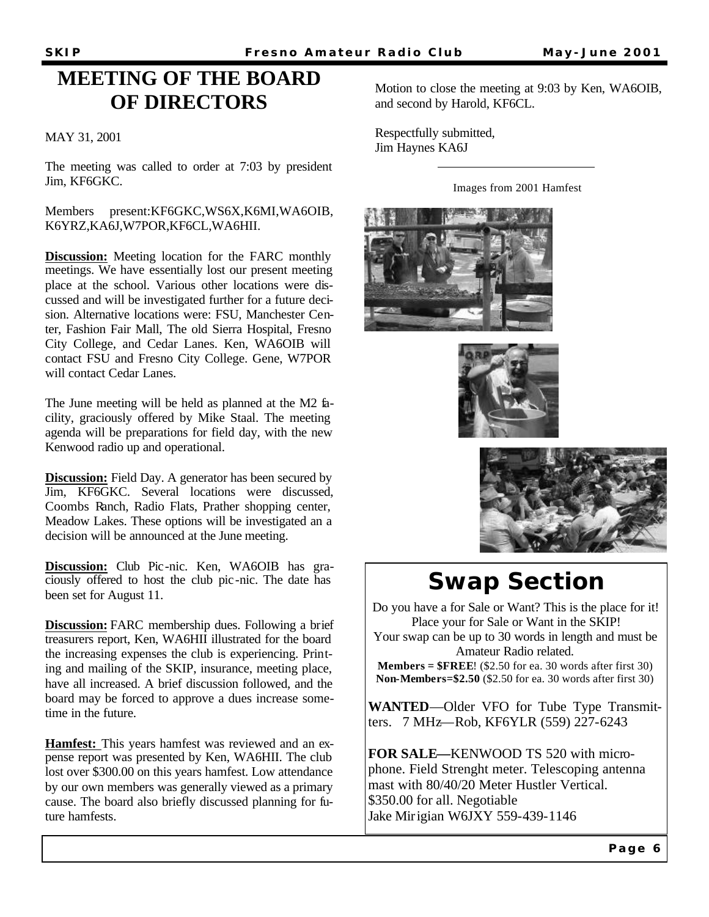### **MEETING OF THE BOARD OF DIRECTORS**

#### MAY 31, 2001

The meeting was called to order at 7:03 by president Jim, KF6GKC.

#### Members present:KF6GKC,WS6X,K6MI,WA6OIB, K6YRZ,KA6J,W7POR,KF6CL,WA6HII.

**Discussion:** Meeting location for the FARC monthly meetings. We have essentially lost our present meeting place at the school. Various other locations were discussed and will be investigated further for a future decision. Alternative locations were: FSU, Manchester Center, Fashion Fair Mall, The old Sierra Hospital, Fresno City College, and Cedar Lanes. Ken, WA6OIB will contact FSU and Fresno City College. Gene, W7POR will contact Cedar Lanes.

The June meeting will be held as planned at the M2 facility, graciously offered by Mike Staal. The meeting agenda will be preparations for field day, with the new Kenwood radio up and operational.

**Discussion:** Field Day. A generator has been secured by Jim, KF6GKC. Several locations were discussed, Coombs Ranch, Radio Flats, Prather shopping center, Meadow Lakes. These options will be investigated an a decision will be announced at the June meeting.

**Discussion:** Club Pic-nic. Ken, WA6OIB has graciously offered to host the club pic-nic. The date has been set for August 11.

**Discussion:** FARC membership dues. Following a brief treasurers report, Ken, WA6HII illustrated for the board the increasing expenses the club is experiencing. Printing and mailing of the SKIP, insurance, meeting place, have all increased. A brief discussion followed, and the board may be forced to approve a dues increase sometime in the future.

**Hamfest:** This years hamfest was reviewed and an expense report was presented by Ken, WA6HII. The club lost over \$300.00 on this years hamfest. Low attendance by our own members was generally viewed as a primary cause. The board also briefly discussed planning for future hamfests.

Motion to close the meeting at 9:03 by Ken, WA6OIB, and second by Harold, KF6CL.

Respectfully submitted, Jim Haynes KA6J

Images from 2001 Hamfest







# **Swap Section**

Do you have a for Sale or Want? This is the place for it! Place your for Sale or Want in the SKIP! Your swap can be up to 30 words in length and must be

Amateur Radio related.

**Members = \$FREE**! (\$2.50 for ea. 30 words after first 30) **Non-Members=\$2.50** (\$2.50 for ea. 30 words after first 30)

**WANTED**—Older VFO for Tube Type Transmitters. 7 MHz—Rob, KF6YLR (559) 227-6243

**FOR SALE—**KENWOOD TS 520 with microphone. Field Strenght meter. Telescoping antenna mast with 80/40/20 Meter Hustler Vertical. \$350.00 for all. Negotiable Jake Mirigian W6JXY 559-439-1146